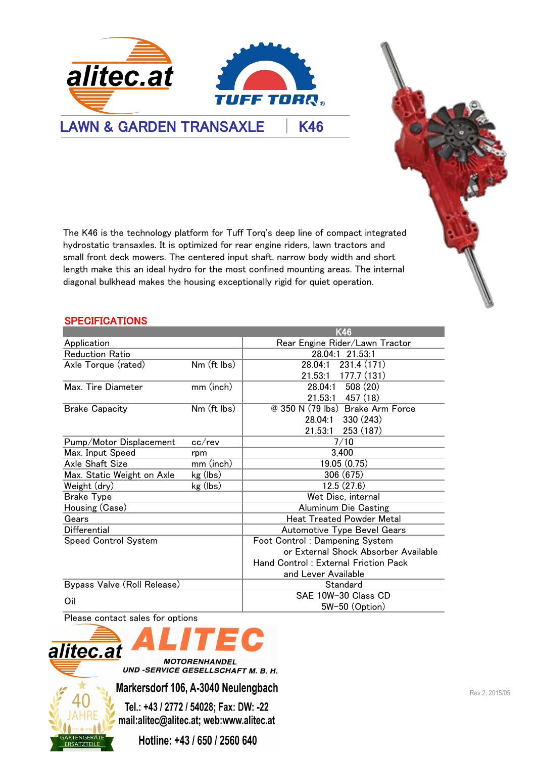

The K46 is the technology platform for Tuff Torq's deep line of compact integrated hydrostatic transaxles. It is optimized for rear engine riders, lawn tractors and small front deck mowers. The centered input shaft, narrow body width and short length make this an ideal hydro for the most confined mounting areas. The internal diagonal bulkhead makes the housing exceptionally rigid for quiet operation.

## SPECIFICATIONS

| <b>SPECIFICATIONS</b>       |             |                                      |  |  |  |
|-----------------------------|-------------|--------------------------------------|--|--|--|
|                             |             | <b>K46</b>                           |  |  |  |
| Application                 |             | Rear Engine Rider/Lawn Tractor       |  |  |  |
| <b>Reduction Ratio</b>      |             | 28.04:1 21.53:1                      |  |  |  |
| Axle Torque (rated)         | Nm (ft lbs) | 231.4 (171)<br>28.04:1               |  |  |  |
|                             |             | 21.53:1<br>177.7(131)                |  |  |  |
| Max. Tire Diameter          | mm (inch)   | 508(20)<br>28.04:1                   |  |  |  |
|                             |             | $21.53:1$ 457 (18)                   |  |  |  |
| <b>Brake Capacity</b>       | Nm (ft lbs) | @ 350 N (79 lbs) Brake Arm Force     |  |  |  |
|                             |             | 330 (243)<br>28.04:1                 |  |  |  |
|                             |             | 21.53:1<br>253 (187)                 |  |  |  |
| Pump/Motor Displacement     | cc/rev      | 7/10                                 |  |  |  |
| Max. Input Speed            | rpm         | 3.400                                |  |  |  |
| Axle Shaft Size             | mm (inch)   | 19.05(0.75)                          |  |  |  |
| Max. Static Weight on Axle  | kg (lbs)    | 306 (675)                            |  |  |  |
| Weight (dry)                | kg (lbs)    | 12.5(27.6)                           |  |  |  |
| <b>Brake Type</b>           |             | Wet Disc, internal                   |  |  |  |
| Housing (Case)              |             | Aluminum Die Casting                 |  |  |  |
| Gears                       |             | <b>Heat Treated Powder Metal</b>     |  |  |  |
| Differential                |             | <b>Automotive Type Bevel Gears</b>   |  |  |  |
| <b>Speed Control System</b> |             | Foot Control: Dampening System       |  |  |  |
|                             |             | or External Shock Absorber Available |  |  |  |
|                             |             | Hand Control: External Friction Pack |  |  |  |
|                             |             | and Lever Available                  |  |  |  |
| Bypass Valve (Roll Release) |             | Standard                             |  |  |  |
| Oil                         |             | SAE 10W-30 Class CD                  |  |  |  |
|                             |             | 5W-50 (Option)                       |  |  |  |

Please contact sales for options



**MOTORENHANDEL** UND -SERVICE GESELLSCHAFT M. B. H.

Markersdorf 106, A-3040 Neulengbach Markersdorf 106, A-3040 Neulengbach

Tel.: +43 / 2772 / 54028; Fax: DW: -22 mail:alitec@alitec.at; web:www.alitec.at

Hotline: +43 / 650 / 2560 640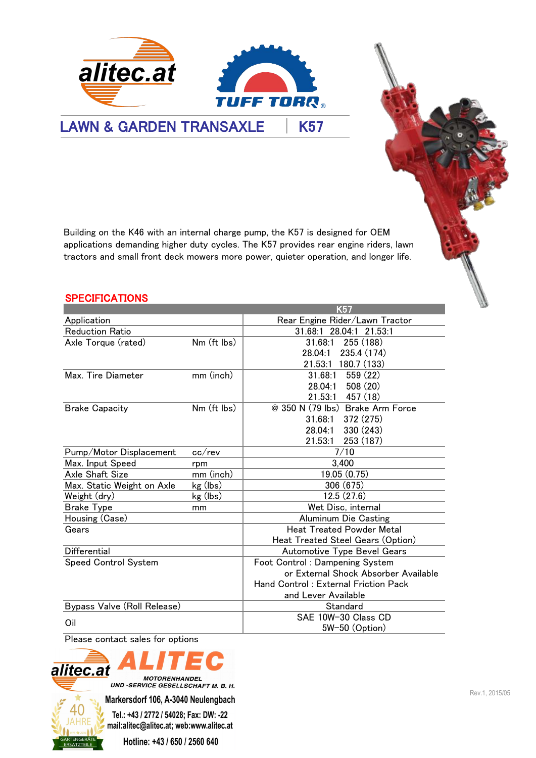LAWN & GARDEN TRANSAXLE | K57

Building on the K46 with an internal charge pump, the K57 is designed for OEM applications demanding higher duty cycles. The K57 provides rear engine riders, lawn tractors and small front deck mowers more power, quieter operation, and longer life.

**TUFF TORR®** 

alitec.at

| <b>SPECIFICATIONS</b>                                                                                                                          |              | K57                                  |  |
|------------------------------------------------------------------------------------------------------------------------------------------------|--------------|--------------------------------------|--|
| Application                                                                                                                                    |              | Rear Engine Rider/Lawn Tractor       |  |
| <b>Reduction Ratio</b>                                                                                                                         |              | 31.68:1 28.04:1 21.53:1              |  |
| Axle Torque (rated)                                                                                                                            | Nm (ft lbs)  | 255 (188)<br>31.68:1                 |  |
|                                                                                                                                                |              | 28.04:1<br>235.4 (174)               |  |
|                                                                                                                                                |              | 21.53:1 180.7 (133)                  |  |
| Max. Tire Diameter                                                                                                                             | mm (inch)    | 31.68:1<br>559 (22)                  |  |
|                                                                                                                                                |              | 508 (20)<br>28.04:1                  |  |
|                                                                                                                                                |              | 21.53:1<br>457 (18)                  |  |
| <b>Brake Capacity</b>                                                                                                                          | Nm (ft lbs)  | @ 350 N (79 lbs) Brake Arm Force     |  |
|                                                                                                                                                |              | 372 (275)<br>31.68:1                 |  |
|                                                                                                                                                |              | 28.04:1<br>330 (243)                 |  |
|                                                                                                                                                |              | 21.53:1<br>253 (187)                 |  |
| Pump/Motor Displacement                                                                                                                        | $cc$ / $rev$ | 7/10                                 |  |
| Max. Input Speed                                                                                                                               | rpm          | 3,400                                |  |
| Axle Shaft Size                                                                                                                                | mm (inch)    | 19.05(0.75)                          |  |
| Max. Static Weight on Axle                                                                                                                     | kg (lbs)     | 306 (675)                            |  |
| Weight (dry)                                                                                                                                   | kg (lbs)     | 12.5(27.6)                           |  |
| <b>Brake Type</b>                                                                                                                              | mm           | Wet Disc, internal                   |  |
| Housing (Case)                                                                                                                                 |              | Aluminum Die Casting                 |  |
| Gears                                                                                                                                          |              | <b>Heat Treated Powder Metal</b>     |  |
|                                                                                                                                                |              | Heat Treated Steel Gears (Option)    |  |
| Differential                                                                                                                                   |              | Automotive Type Bevel Gears          |  |
| Speed Control System                                                                                                                           |              | Foot Control: Dampening System       |  |
|                                                                                                                                                |              | or External Shock Absorber Available |  |
|                                                                                                                                                |              | Hand Control: External Friction Pack |  |
|                                                                                                                                                |              | and Lever Available                  |  |
| Bypass Valve (Roll Release)                                                                                                                    |              | Standard                             |  |
| Oil                                                                                                                                            |              | SAE 10W-30 Class CD                  |  |
|                                                                                                                                                |              | 5W-50 (Option)                       |  |
| Please contact sales for options                                                                                                               |              |                                      |  |
| alitec.at<br><b>MOTORENHANDEL</b><br>UND -SERVICE GESELLSCHAFT M. B. H.                                                                        |              |                                      |  |
| $\mathbf{r}$ $\mathbf{r}$ $\mathbf{r}$ $\mathbf{r}$ $\mathbf{r}$ $\mathbf{r}$ $\mathbf{r}$ $\mathbf{r}$ $\mathbf{r}$ $\mathbf{r}$ $\mathbf{r}$ |              |                                      |  |

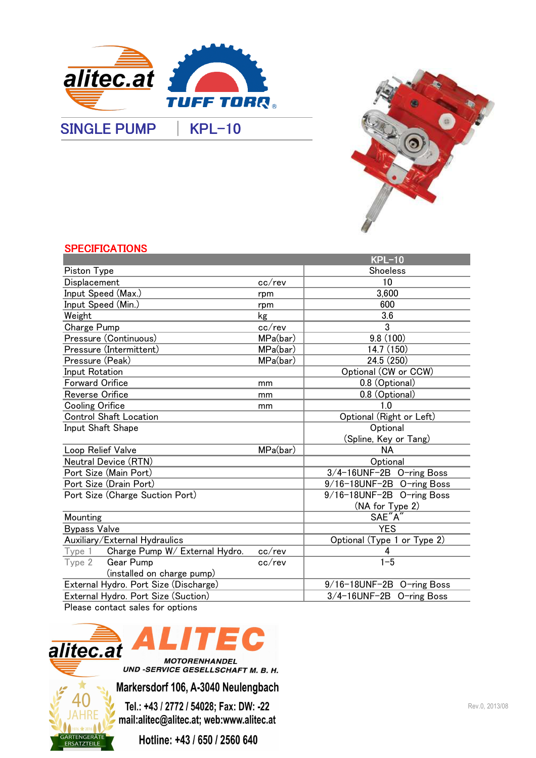

SINGLE PUMP | KPL-10



### **SPECIFICATIONS**

|                                       |                           | <b>KPL-10</b>               |  |
|---------------------------------------|---------------------------|-----------------------------|--|
| Piston Type                           |                           | Shoeless                    |  |
| Displacement                          | cc/rev                    | 10                          |  |
| Input Speed (Max.)                    | rpm                       | 3,600                       |  |
| Input Speed (Min.)                    | rpm                       | 600                         |  |
| Weight                                | kg                        | 3.6                         |  |
| Charge Pump                           | cc/rev                    | 3                           |  |
| Pressure (Continuous)                 | MPa(bar)                  | 9.8(100)                    |  |
| Pressure (Intermittent)               | MPa(bar)                  | 14.7 (150)                  |  |
| Pressure (Peak)                       | MPa(bar)                  | 24.5 (250)                  |  |
| Input Rotation                        |                           | Optional (CW or CCW)        |  |
| <b>Forward Orifice</b>                | mm                        | 0.8 (Optional)              |  |
| Reverse Orifice                       | mm                        | 0.8 (Optional)              |  |
| <b>Cooling Orifice</b>                | mm                        | 1.0                         |  |
| <b>Control Shaft Location</b>         |                           | Optional (Right or Left)    |  |
| Input Shaft Shape                     |                           | Optional                    |  |
|                                       |                           | (Spline, Key or Tang)       |  |
| Loop Relief Valve                     | MPa(bar)                  | <b>NA</b>                   |  |
| Neutral Device (RTN)                  |                           | Optional                    |  |
| Port Size (Main Port)                 |                           | 3/4-16UNF-2B O-ring Boss    |  |
| Port Size (Drain Port)                |                           | 9/16-18UNF-2B O-ring Boss   |  |
| Port Size (Charge Suction Port)       |                           | 9/16-18UNF-2B O-ring Boss   |  |
|                                       |                           | (NA for Type 2)             |  |
| Mounting                              |                           | SAE"A"                      |  |
| <b>Bypass Valve</b>                   |                           | <b>YES</b>                  |  |
| Auxiliary/External Hydraulics         |                           | Optional (Type 1 or Type 2) |  |
| Type 1 Charge Pump W/ External Hydro. | $cc$ / $rev$              | 4                           |  |
| Gear Pump<br>Type <sub>2</sub>        | $cc$ / $rev$              | $1 - 5$                     |  |
| (installed on charge pump)            |                           |                             |  |
| External Hydro. Port Size (Discharge) | 9/16-18UNF-2B O-ring Boss |                             |  |
| External Hydro. Port Size (Suction)   |                           | 3/4-16UNF-2B O-ring Boss    |  |

Please contact sales for options